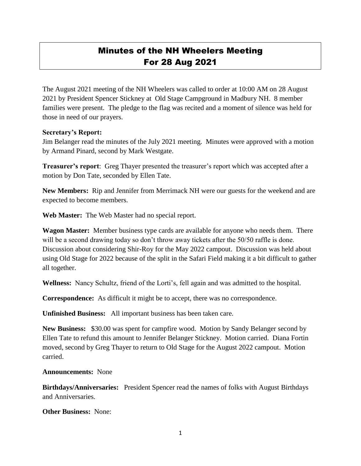## Minutes of the NH Wheelers Meeting For 28 Aug 2021

The August 2021 meeting of the NH Wheelers was called to order at 10:00 AM on 28 August 2021 by President Spencer Stickney at Old Stage Campground in Madbury NH. 8 member families were present. The pledge to the flag was recited and a moment of silence was held for those in need of our prayers.

## **Secretary's Report:**

Jim Belanger read the minutes of the July 2021 meeting. Minutes were approved with a motion by Armand Pinard, second by Mark Westgate.

**Treasurer's report**: Greg Thayer presented the treasurer's report which was accepted after a motion by Don Tate, seconded by Ellen Tate.

**New Members:** Rip and Jennifer from Merrimack NH were our guests for the weekend and are expected to become members.

**Web Master:** The Web Master had no special report.

**Wagon Master:** Member business type cards are available for anyone who needs them. There will be a second drawing today so don't throw away tickets after the 50/50 raffle is done. Discussion about considering Shir-Roy for the May 2022 campout. Discussion was held about using Old Stage for 2022 because of the split in the Safari Field making it a bit difficult to gather all together.

**Wellness:** Nancy Schultz, friend of the Lorti's, fell again and was admitted to the hospital.

**Correspondence:** As difficult it might be to accept, there was no correspondence.

**Unfinished Business:** All important business has been taken care.

**New Business:** \$30.00 was spent for campfire wood. Motion by Sandy Belanger second by Ellen Tate to refund this amount to Jennifer Belanger Stickney. Motion carried. Diana Fortin moved, second by Greg Thayer to return to Old Stage for the August 2022 campout. Motion carried.

**Announcements:** None

**Birthdays/Anniversaries:** President Spencer read the names of folks with August Birthdays and Anniversaries.

**Other Business:** None: